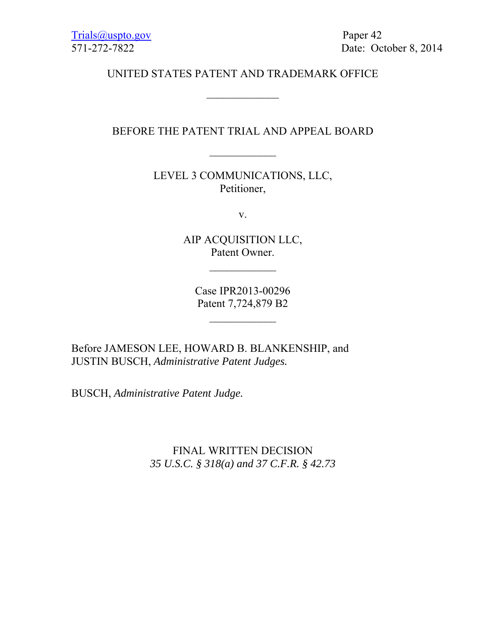571-272-7822 Date: October 8, 2014

# UNITED STATES PATENT AND TRADEMARK OFFICE

## BEFORE THE PATENT TRIAL AND APPEAL BOARD

 $\frac{1}{2}$ 

LEVEL 3 COMMUNICATIONS, LLC, Petitioner,

v.

AIP ACQUISITION LLC, Patent Owner.

Case IPR2013-00296 Patent 7,724,879 B2

 $\frac{1}{2}$ 

Before JAMESON LEE, HOWARD B. BLANKENSHIP, and JUSTIN BUSCH, *Administrative Patent Judges.* 

BUSCH, *Administrative Patent Judge.*

FINAL WRITTEN DECISION *35 U.S.C. § 318(a) and 37 C.F.R. § 42.73*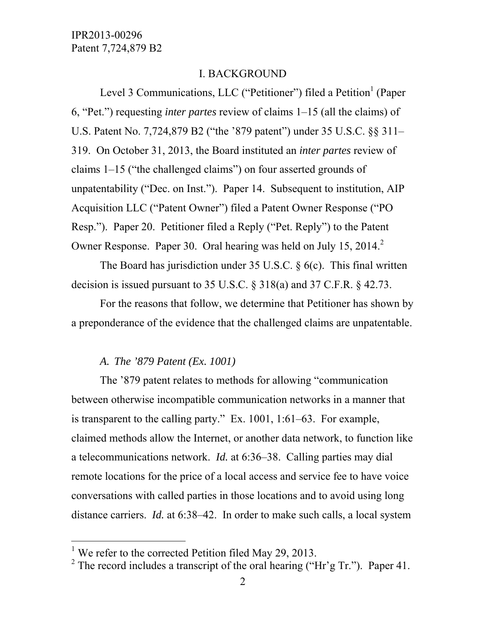#### I. BACKGROUND

Level 3 Communications, LLC ("Petitioner") filed a Petition<sup>1</sup> (Paper 6, "Pet.") requesting *inter partes* review of claims 1–15 (all the claims) of U.S. Patent No. 7,724,879 B2 ("the '879 patent") under 35 U.S.C. §§ 311– 319. On October 31, 2013, the Board instituted an *inter partes* review of claims 1–15 ("the challenged claims") on four asserted grounds of unpatentability ("Dec. on Inst."). Paper 14. Subsequent to institution, AIP Acquisition LLC ("Patent Owner") filed a Patent Owner Response ("PO Resp."). Paper 20. Petitioner filed a Reply ("Pet. Reply") to the Patent Owner Response. Paper 30. Oral hearing was held on July 15, 2014.<sup>2</sup>

 The Board has jurisdiction under 35 U.S.C. § 6(c). This final written decision is issued pursuant to 35 U.S.C. § 318(a) and 37 C.F.R. § 42.73.

 For the reasons that follow, we determine that Petitioner has shown by a preponderance of the evidence that the challenged claims are unpatentable.

#### *A. The '879 Patent (Ex. 1001)*

The '879 patent relates to methods for allowing "communication between otherwise incompatible communication networks in a manner that is transparent to the calling party." Ex. 1001, 1:61–63. For example, claimed methods allow the Internet, or another data network, to function like a telecommunications network. *Id.* at 6:36–38. Calling parties may dial remote locations for the price of a local access and service fee to have voice conversations with called parties in those locations and to avoid using long distance carriers. *Id.* at 6:38–42. In order to make such calls, a local system

-

<sup>&</sup>lt;sup>1</sup> We refer to the corrected Petition filed May 29, 2013.

<sup>&</sup>lt;sup>2</sup> The record includes a transcript of the oral hearing ("Hr'g Tr."). Paper 41.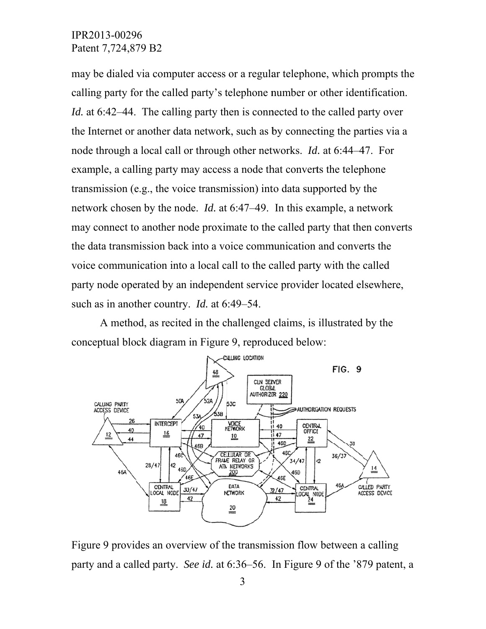may be dialed via computer access or a regular telephone, which prompts the calling party for the called party's telephone number or other identification. *Id.* at 6:42–44. The calling party then is connected to the called party over the Internet or another data network, such as by connecting the parties via a node through a local call or through other networks. *Id.* at 6:44–47. For example, a calling party may access a node that converts the telephone transmission (e.g., the voice transmission) into data supported by the network chosen by the node. *Id.* at 6:47–49. In this example, a network may connect to another node proximate to the called party that then converts the data transmission back into a voice communication and converts the voice communication into a local call to the called party with the called party node operated by an independent service provider located elsewhere, such as in another country. *Id.* at 6:49–54.

conceptual block diagram in Figure 9, reproduced below: A method, as recited in the challenged claims, is illustrated by the



Figure 9 provides an overview of the transmission flow between a calling party and a called party. See id. at 6:36–56. In Figure 9 of the '879 patent, a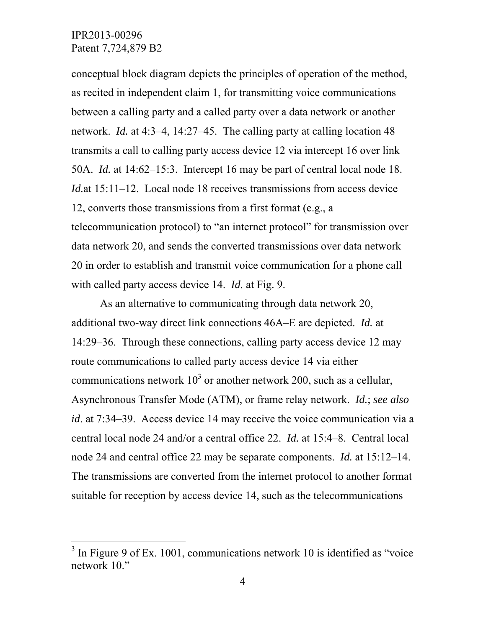-

conceptual block diagram depicts the principles of operation of the method, as recited in independent claim 1, for transmitting voice communications between a calling party and a called party over a data network or another network. *Id.* at 4:3–4, 14:27–45. The calling party at calling location 48 transmits a call to calling party access device 12 via intercept 16 over link 50A. *Id.* at 14:62–15:3. Intercept 16 may be part of central local node 18. *Id.* at 15:11–12. Local node 18 receives transmissions from access device 12, converts those transmissions from a first format (e.g., a telecommunication protocol) to "an internet protocol" for transmission over data network 20, and sends the converted transmissions over data network 20 in order to establish and transmit voice communication for a phone call with called party access device 14. *Id.* at Fig. 9.

As an alternative to communicating through data network 20, additional two-way direct link connections 46A–E are depicted. *Id.* at 14:29–36. Through these connections, calling party access device 12 may route communications to called party access device 14 via either communications network  $10^3$  or another network 200, such as a cellular, Asynchronous Transfer Mode (ATM), or frame relay network. *Id.*; *see also id*. at 7:34–39. Access device 14 may receive the voice communication via a central local node 24 and/or a central office 22. *Id.* at 15:4–8. Central local node 24 and central office 22 may be separate components. *Id.* at 15:12–14. The transmissions are converted from the internet protocol to another format suitable for reception by access device 14, such as the telecommunications

 $3$  In Figure 9 of Ex. 1001, communications network 10 is identified as "voice" network 10."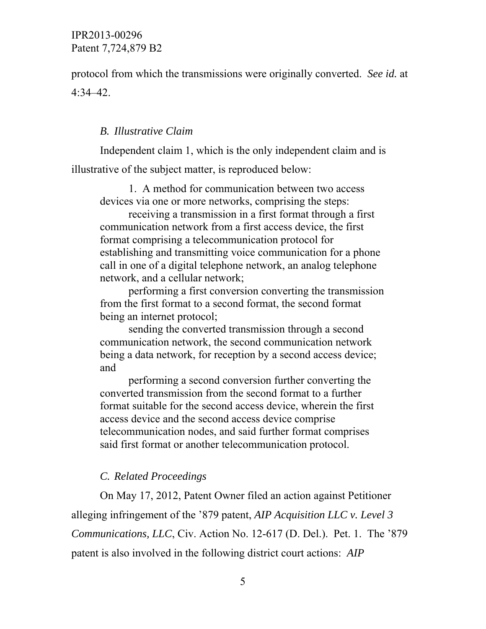protocol from which the transmissions were originally converted. *See id.* at 4:34–42.

#### *B. Illustrative Claim*

Independent claim 1, which is the only independent claim and is illustrative of the subject matter, is reproduced below:

1. A method for communication between two access devices via one or more networks, comprising the steps:

receiving a transmission in a first format through a first communication network from a first access device, the first format comprising a telecommunication protocol for establishing and transmitting voice communication for a phone call in one of a digital telephone network, an analog telephone network, and a cellular network;

performing a first conversion converting the transmission from the first format to a second format, the second format being an internet protocol;

sending the converted transmission through a second communication network, the second communication network being a data network, for reception by a second access device; and

performing a second conversion further converting the converted transmission from the second format to a further format suitable for the second access device, wherein the first access device and the second access device comprise telecommunication nodes, and said further format comprises said first format or another telecommunication protocol.

#### *C. Related Proceedings*

On May 17, 2012, Patent Owner filed an action against Petitioner alleging infringement of the '879 patent, *AIP Acquisition LLC v. Level 3 Communications, LLC*, Civ. Action No. 12-617 (D. Del.). Pet. 1. The '879 patent is also involved in the following district court actions: *AIP*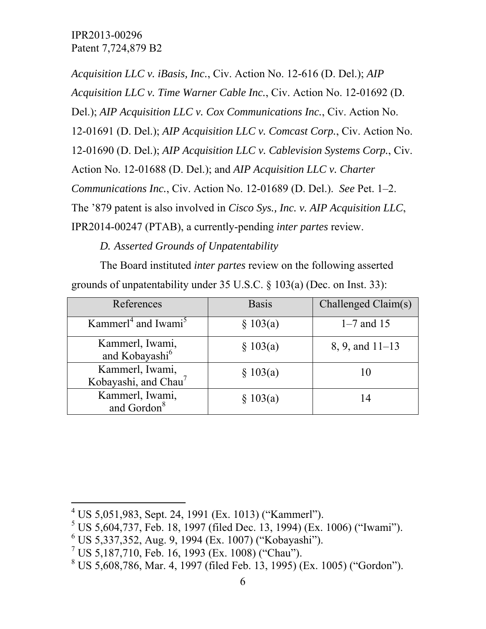*Acquisition LLC v. iBasis, Inc.*, Civ. Action No. 12-616 (D. Del.); *AIP Acquisition LLC v. Time Warner Cable Inc.*, Civ. Action No. 12-01692 (D. Del.); *AIP Acquisition LLC v. Cox Communications Inc.*, Civ. Action No. 12-01691 (D. Del.); *AIP Acquisition LLC v. Comcast Corp.*, Civ. Action No. 12-01690 (D. Del.); *AIP Acquisition LLC v. Cablevision Systems Corp.*, Civ. Action No. 12-01688 (D. Del.); and *AIP Acquisition LLC v. Charter Communications Inc.*, Civ. Action No. 12-01689 (D. Del.). *See* Pet. 1–2. The '879 patent is also involved in *Cisco Sys., Inc. v. AIP Acquisition LLC*, IPR2014-00247 (PTAB), a currently-pending *inter partes* review.

*D. Asserted Grounds of Unpatentability* 

The Board instituted *inter partes* review on the following asserted grounds of unpatentability under 35 U.S.C. § 103(a) (Dec. on Inst. 33):

| References                                          | <b>Basis</b> | Challenged Claim(s) |
|-----------------------------------------------------|--------------|---------------------|
| Kammer <sup>14</sup> and Iwami <sup>5</sup>         | § 103(a)     | $1 - 7$ and 15      |
| Kammerl, Iwami,<br>and Kobayashi <sup>6</sup>       | § 103(a)     | $8, 9,$ and $11-13$ |
| Kammerl, Iwami,<br>Kobayashi, and Chau <sup>7</sup> | § 103(a)     | 10                  |
| Kammerl, Iwami,<br>and Gordon <sup>8</sup>          | § 103(a)     | 14                  |

l

 $4^4$  US 5,051,983, Sept. 24, 1991 (Ex. 1013) ("Kammerl").

 $5$  US 5,604,737, Feb. 18, 1997 (filed Dec. 13, 1994) (Ex. 1006) ("Iwami").

<sup>6</sup> US 5,337,352, Aug. 9, 1994 (Ex. 1007) ("Kobayashi").

<sup>&</sup>lt;sup>7</sup> US 5,187,710, Feb. 16, 1993 (Ex. 1008) ("Chau").

<sup>8</sup> US 5,608,786, Mar. 4, 1997 (filed Feb. 13, 1995) (Ex. 1005) ("Gordon").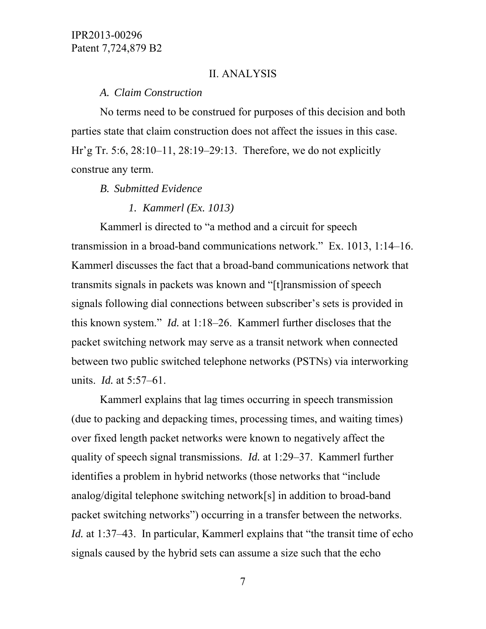#### II. ANALYSIS

#### *A. Claim Construction*

No terms need to be construed for purposes of this decision and both parties state that claim construction does not affect the issues in this case. Hr'g Tr. 5:6, 28:10–11, 28:19–29:13. Therefore, we do not explicitly construe any term.

#### *B. Submitted Evidence*

#### *1. Kammerl (Ex. 1013)*

Kammerl is directed to "a method and a circuit for speech transmission in a broad-band communications network." Ex. 1013, 1:14–16. Kammerl discusses the fact that a broad-band communications network that transmits signals in packets was known and "[t]ransmission of speech signals following dial connections between subscriber's sets is provided in this known system." *Id.* at 1:18–26. Kammerl further discloses that the packet switching network may serve as a transit network when connected between two public switched telephone networks (PSTNs) via interworking units. *Id.* at 5:57–61.

Kammerl explains that lag times occurring in speech transmission (due to packing and depacking times, processing times, and waiting times) over fixed length packet networks were known to negatively affect the quality of speech signal transmissions. *Id.* at 1:29–37. Kammerl further identifies a problem in hybrid networks (those networks that "include analog/digital telephone switching network[s] in addition to broad-band packet switching networks") occurring in a transfer between the networks. *Id.* at 1:37–43. In particular, Kammerl explains that "the transit time of echo signals caused by the hybrid sets can assume a size such that the echo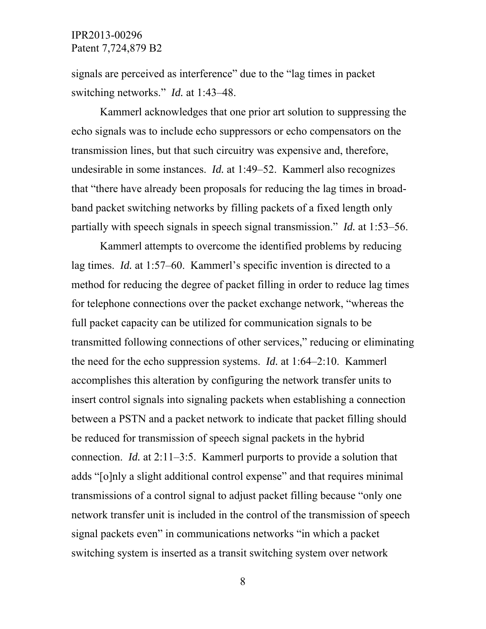signals are perceived as interference" due to the "lag times in packet switching networks." *Id.* at 1:43–48.

Kammerl acknowledges that one prior art solution to suppressing the echo signals was to include echo suppressors or echo compensators on the transmission lines, but that such circuitry was expensive and, therefore, undesirable in some instances. *Id.* at 1:49–52. Kammerl also recognizes that "there have already been proposals for reducing the lag times in broadband packet switching networks by filling packets of a fixed length only partially with speech signals in speech signal transmission." *Id.* at 1:53–56.

Kammerl attempts to overcome the identified problems by reducing lag times. *Id.* at 1:57–60. Kammerl's specific invention is directed to a method for reducing the degree of packet filling in order to reduce lag times for telephone connections over the packet exchange network, "whereas the full packet capacity can be utilized for communication signals to be transmitted following connections of other services," reducing or eliminating the need for the echo suppression systems. *Id.* at 1:64–2:10. Kammerl accomplishes this alteration by configuring the network transfer units to insert control signals into signaling packets when establishing a connection between a PSTN and a packet network to indicate that packet filling should be reduced for transmission of speech signal packets in the hybrid connection. *Id.* at 2:11–3:5. Kammerl purports to provide a solution that adds "[o]nly a slight additional control expense" and that requires minimal transmissions of a control signal to adjust packet filling because "only one network transfer unit is included in the control of the transmission of speech signal packets even" in communications networks "in which a packet switching system is inserted as a transit switching system over network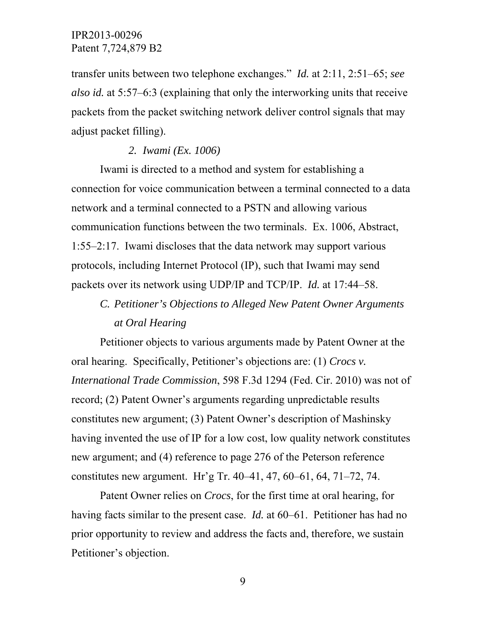transfer units between two telephone exchanges." *Id.* at 2:11, 2:51–65; *see also id.* at 5:57–6:3 (explaining that only the interworking units that receive packets from the packet switching network deliver control signals that may adjust packet filling).

#### *2. Iwami (Ex. 1006)*

Iwami is directed to a method and system for establishing a connection for voice communication between a terminal connected to a data network and a terminal connected to a PSTN and allowing various communication functions between the two terminals. Ex. 1006, Abstract, 1:55–2:17. Iwami discloses that the data network may support various protocols, including Internet Protocol (IP), such that Iwami may send packets over its network using UDP/IP and TCP/IP. *Id.* at 17:44–58.

# *C. Petitioner's Objections to Alleged New Patent Owner Arguments at Oral Hearing*

Petitioner objects to various arguments made by Patent Owner at the oral hearing. Specifically, Petitioner's objections are: (1) *Crocs v. International Trade Commission*, 598 F.3d 1294 (Fed. Cir. 2010) was not of record; (2) Patent Owner's arguments regarding unpredictable results constitutes new argument; (3) Patent Owner's description of Mashinsky having invented the use of IP for a low cost, low quality network constitutes new argument; and (4) reference to page 276 of the Peterson reference constitutes new argument. Hr'g Tr. 40–41, 47, 60–61, 64, 71–72, 74.

Patent Owner relies on *Crocs*, for the first time at oral hearing, for having facts similar to the present case. *Id.* at 60–61. Petitioner has had no prior opportunity to review and address the facts and, therefore, we sustain Petitioner's objection.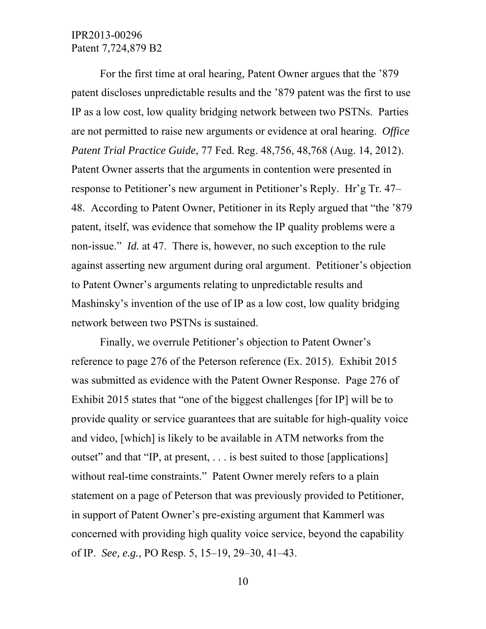For the first time at oral hearing, Patent Owner argues that the '879 patent discloses unpredictable results and the '879 patent was the first to use IP as a low cost, low quality bridging network between two PSTNs. Parties are not permitted to raise new arguments or evidence at oral hearing. *Office Patent Trial Practice Guide*, 77 Fed. Reg. 48,756, 48,768 (Aug. 14, 2012). Patent Owner asserts that the arguments in contention were presented in response to Petitioner's new argument in Petitioner's Reply. Hr'g Tr. 47– 48. According to Patent Owner, Petitioner in its Reply argued that "the '879 patent, itself, was evidence that somehow the IP quality problems were a non-issue." *Id.* at 47. There is, however, no such exception to the rule against asserting new argument during oral argument. Petitioner's objection to Patent Owner's arguments relating to unpredictable results and Mashinsky's invention of the use of IP as a low cost, low quality bridging network between two PSTNs is sustained.

Finally, we overrule Petitioner's objection to Patent Owner's reference to page 276 of the Peterson reference (Ex. 2015). Exhibit 2015 was submitted as evidence with the Patent Owner Response. Page 276 of Exhibit 2015 states that "one of the biggest challenges [for IP] will be to provide quality or service guarantees that are suitable for high-quality voice and video, [which] is likely to be available in ATM networks from the outset" and that "IP, at present, . . . is best suited to those [applications] without real-time constraints." Patent Owner merely refers to a plain statement on a page of Peterson that was previously provided to Petitioner, in support of Patent Owner's pre-existing argument that Kammerl was concerned with providing high quality voice service, beyond the capability of IP. *See, e.g.*, PO Resp. 5, 15–19, 29–30, 41–43.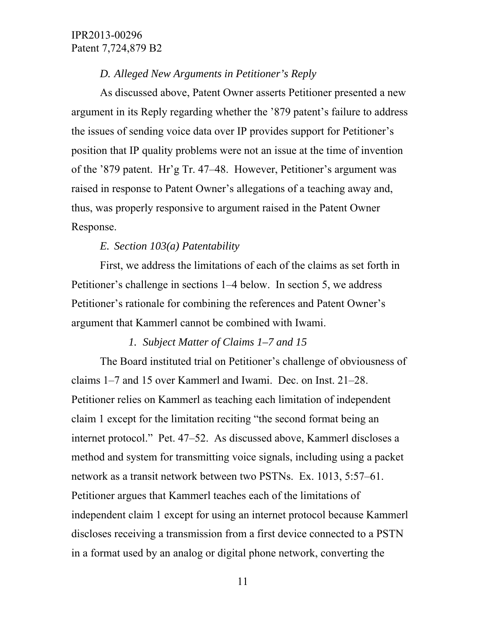#### *D. Alleged New Arguments in Petitioner's Reply*

As discussed above, Patent Owner asserts Petitioner presented a new argument in its Reply regarding whether the '879 patent's failure to address the issues of sending voice data over IP provides support for Petitioner's position that IP quality problems were not an issue at the time of invention of the '879 patent. Hr'g Tr. 47–48. However, Petitioner's argument was raised in response to Patent Owner's allegations of a teaching away and, thus, was properly responsive to argument raised in the Patent Owner Response.

#### *E. Section 103(a) Patentability*

First, we address the limitations of each of the claims as set forth in Petitioner's challenge in sections 1–4 below. In section 5, we address Petitioner's rationale for combining the references and Patent Owner's argument that Kammerl cannot be combined with Iwami.

## *1. Subject Matter of Claims 1–7 and 15*

The Board instituted trial on Petitioner's challenge of obviousness of claims 1–7 and 15 over Kammerl and Iwami. Dec. on Inst. 21–28. Petitioner relies on Kammerl as teaching each limitation of independent claim 1 except for the limitation reciting "the second format being an internet protocol." Pet. 47–52. As discussed above, Kammerl discloses a method and system for transmitting voice signals, including using a packet network as a transit network between two PSTNs. Ex. 1013, 5:57–61. Petitioner argues that Kammerl teaches each of the limitations of independent claim 1 except for using an internet protocol because Kammerl discloses receiving a transmission from a first device connected to a PSTN in a format used by an analog or digital phone network, converting the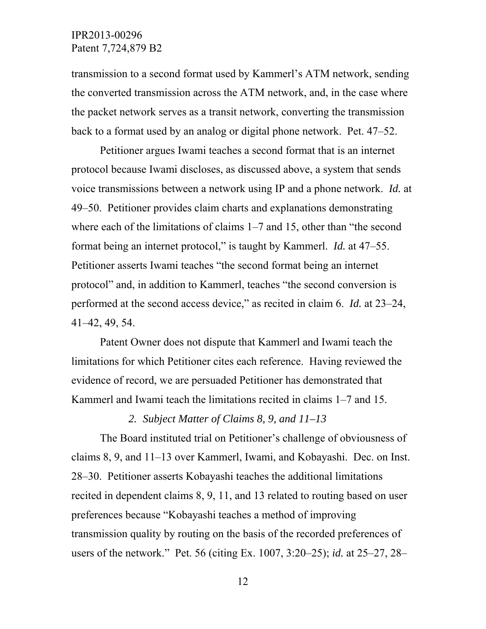transmission to a second format used by Kammerl's ATM network, sending the converted transmission across the ATM network, and, in the case where the packet network serves as a transit network, converting the transmission back to a format used by an analog or digital phone network. Pet. 47–52.

Petitioner argues Iwami teaches a second format that is an internet protocol because Iwami discloses, as discussed above, a system that sends voice transmissions between a network using IP and a phone network. *Id.* at 49–50. Petitioner provides claim charts and explanations demonstrating where each of the limitations of claims 1–7 and 15, other than "the second format being an internet protocol," is taught by Kammerl. *Id.* at 47–55. Petitioner asserts Iwami teaches "the second format being an internet protocol" and, in addition to Kammerl, teaches "the second conversion is performed at the second access device," as recited in claim 6. *Id.* at 23–24, 41–42, 49, 54.

Patent Owner does not dispute that Kammerl and Iwami teach the limitations for which Petitioner cites each reference. Having reviewed the evidence of record, we are persuaded Petitioner has demonstrated that Kammerl and Iwami teach the limitations recited in claims 1–7 and 15.

## *2. Subject Matter of Claims 8, 9, and 11–13*

The Board instituted trial on Petitioner's challenge of obviousness of claims 8, 9, and 11–13 over Kammerl, Iwami, and Kobayashi. Dec. on Inst. 28–30. Petitioner asserts Kobayashi teaches the additional limitations recited in dependent claims 8, 9, 11, and 13 related to routing based on user preferences because "Kobayashi teaches a method of improving transmission quality by routing on the basis of the recorded preferences of users of the network." Pet. 56 (citing Ex. 1007, 3:20–25); *id.* at 25–27, 28–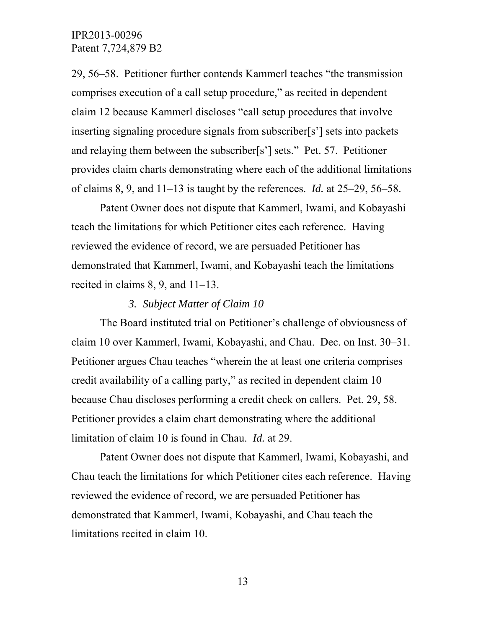29, 56–58. Petitioner further contends Kammerl teaches "the transmission comprises execution of a call setup procedure," as recited in dependent claim 12 because Kammerl discloses "call setup procedures that involve inserting signaling procedure signals from subscriber[s'] sets into packets and relaying them between the subscriber[s'] sets." Pet. 57. Petitioner provides claim charts demonstrating where each of the additional limitations of claims 8, 9, and 11–13 is taught by the references. *Id.* at 25–29, 56–58.

Patent Owner does not dispute that Kammerl, Iwami, and Kobayashi teach the limitations for which Petitioner cites each reference. Having reviewed the evidence of record, we are persuaded Petitioner has demonstrated that Kammerl, Iwami, and Kobayashi teach the limitations recited in claims 8, 9, and 11–13.

#### *3. Subject Matter of Claim 10*

The Board instituted trial on Petitioner's challenge of obviousness of claim 10 over Kammerl, Iwami, Kobayashi, and Chau. Dec. on Inst. 30–31. Petitioner argues Chau teaches "wherein the at least one criteria comprises credit availability of a calling party," as recited in dependent claim 10 because Chau discloses performing a credit check on callers. Pet. 29, 58. Petitioner provides a claim chart demonstrating where the additional limitation of claim 10 is found in Chau. *Id.* at 29.

Patent Owner does not dispute that Kammerl, Iwami, Kobayashi, and Chau teach the limitations for which Petitioner cites each reference. Having reviewed the evidence of record, we are persuaded Petitioner has demonstrated that Kammerl, Iwami, Kobayashi, and Chau teach the limitations recited in claim 10.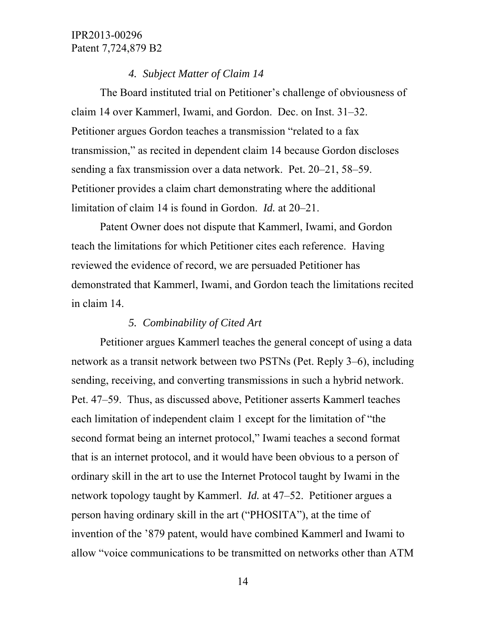#### *4. Subject Matter of Claim 14*

The Board instituted trial on Petitioner's challenge of obviousness of claim 14 over Kammerl, Iwami, and Gordon. Dec. on Inst. 31–32. Petitioner argues Gordon teaches a transmission "related to a fax transmission," as recited in dependent claim 14 because Gordon discloses sending a fax transmission over a data network. Pet. 20–21, 58–59. Petitioner provides a claim chart demonstrating where the additional limitation of claim 14 is found in Gordon. *Id.* at 20–21.

Patent Owner does not dispute that Kammerl, Iwami, and Gordon teach the limitations for which Petitioner cites each reference. Having reviewed the evidence of record, we are persuaded Petitioner has demonstrated that Kammerl, Iwami, and Gordon teach the limitations recited in claim 14.

## *5. Combinability of Cited Art*

Petitioner argues Kammerl teaches the general concept of using a data network as a transit network between two PSTNs (Pet. Reply 3–6), including sending, receiving, and converting transmissions in such a hybrid network. Pet. 47–59. Thus, as discussed above, Petitioner asserts Kammerl teaches each limitation of independent claim 1 except for the limitation of "the second format being an internet protocol," Iwami teaches a second format that is an internet protocol, and it would have been obvious to a person of ordinary skill in the art to use the Internet Protocol taught by Iwami in the network topology taught by Kammerl. *Id.* at 47–52. Petitioner argues a person having ordinary skill in the art ("PHOSITA"), at the time of invention of the '879 patent, would have combined Kammerl and Iwami to allow "voice communications to be transmitted on networks other than ATM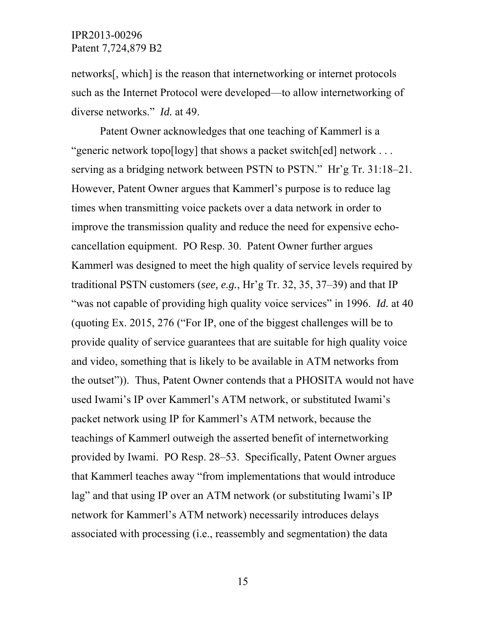networks[, which] is the reason that internetworking or internet protocols such as the Internet Protocol were developed—to allow internetworking of diverse networks." *Id.* at 49.

Patent Owner acknowledges that one teaching of Kammerl is a "generic network topo[logy] that shows a packet switch[ed] network . . . serving as a bridging network between PSTN to PSTN." Hr'g Tr. 31:18–21. However, Patent Owner argues that Kammerl's purpose is to reduce lag times when transmitting voice packets over a data network in order to improve the transmission quality and reduce the need for expensive echocancellation equipment. PO Resp. 30. Patent Owner further argues Kammerl was designed to meet the high quality of service levels required by traditional PSTN customers (*see, e.g.*, Hr'g Tr. 32, 35, 37–39) and that IP "was not capable of providing high quality voice services" in 1996. *Id.* at 40 (quoting Ex. 2015, 276 ("For IP, one of the biggest challenges will be to provide quality of service guarantees that are suitable for high quality voice and video, something that is likely to be available in ATM networks from the outset")). Thus, Patent Owner contends that a PHOSITA would not have used Iwami's IP over Kammerl's ATM network, or substituted Iwami's packet network using IP for Kammerl's ATM network, because the teachings of Kammerl outweigh the asserted benefit of internetworking provided by Iwami. PO Resp. 28–53. Specifically, Patent Owner argues that Kammerl teaches away "from implementations that would introduce lag" and that using IP over an ATM network (or substituting Iwami's IP network for Kammerl's ATM network) necessarily introduces delays associated with processing (i.e., reassembly and segmentation) the data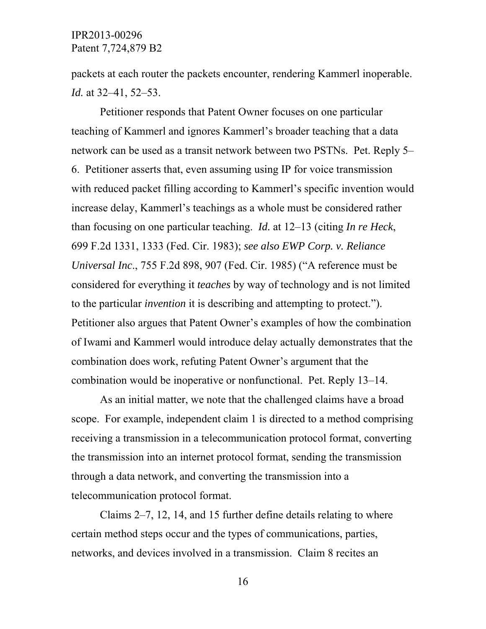packets at each router the packets encounter, rendering Kammerl inoperable. *Id.* at 32–41, 52–53.

Petitioner responds that Patent Owner focuses on one particular teaching of Kammerl and ignores Kammerl's broader teaching that a data network can be used as a transit network between two PSTNs. Pet. Reply 5– 6. Petitioner asserts that, even assuming using IP for voice transmission with reduced packet filling according to Kammerl's specific invention would increase delay, Kammerl's teachings as a whole must be considered rather than focusing on one particular teaching. *Id.* at 12–13 (citing *In re Heck*, 699 F.2d 1331, 1333 (Fed. Cir. 1983); *see also EWP Corp. v. Reliance Universal Inc*., 755 F.2d 898, 907 (Fed. Cir. 1985) ("A reference must be considered for everything it *teaches* by way of technology and is not limited to the particular *invention* it is describing and attempting to protect."). Petitioner also argues that Patent Owner's examples of how the combination of Iwami and Kammerl would introduce delay actually demonstrates that the combination does work, refuting Patent Owner's argument that the combination would be inoperative or nonfunctional. Pet. Reply 13–14.

As an initial matter, we note that the challenged claims have a broad scope. For example, independent claim 1 is directed to a method comprising receiving a transmission in a telecommunication protocol format, converting the transmission into an internet protocol format, sending the transmission through a data network, and converting the transmission into a telecommunication protocol format.

Claims 2–7, 12, 14, and 15 further define details relating to where certain method steps occur and the types of communications, parties, networks, and devices involved in a transmission. Claim 8 recites an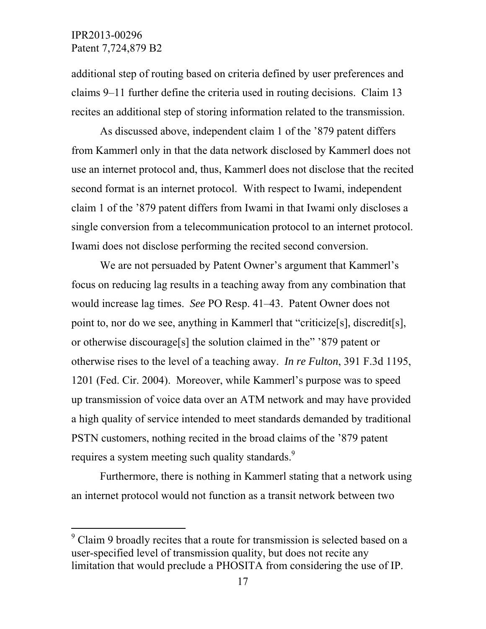$\overline{a}$ 

additional step of routing based on criteria defined by user preferences and claims 9–11 further define the criteria used in routing decisions. Claim 13 recites an additional step of storing information related to the transmission.

As discussed above, independent claim 1 of the '879 patent differs from Kammerl only in that the data network disclosed by Kammerl does not use an internet protocol and, thus, Kammerl does not disclose that the recited second format is an internet protocol. With respect to Iwami, independent claim 1 of the '879 patent differs from Iwami in that Iwami only discloses a single conversion from a telecommunication protocol to an internet protocol. Iwami does not disclose performing the recited second conversion.

We are not persuaded by Patent Owner's argument that Kammerl's focus on reducing lag results in a teaching away from any combination that would increase lag times. *See* PO Resp. 41–43. Patent Owner does not point to, nor do we see, anything in Kammerl that "criticize[s], discredit[s], or otherwise discourage[s] the solution claimed in the" '879 patent or otherwise rises to the level of a teaching away. *In re Fulton*, 391 F.3d 1195, 1201 (Fed. Cir. 2004). Moreover, while Kammerl's purpose was to speed up transmission of voice data over an ATM network and may have provided a high quality of service intended to meet standards demanded by traditional PSTN customers, nothing recited in the broad claims of the '879 patent requires a system meeting such quality standards.<sup>9</sup>

Furthermore, there is nothing in Kammerl stating that a network using an internet protocol would not function as a transit network between two

 $9^9$  Claim 9 broadly recites that a route for transmission is selected based on a user-specified level of transmission quality, but does not recite any limitation that would preclude a PHOSITA from considering the use of IP.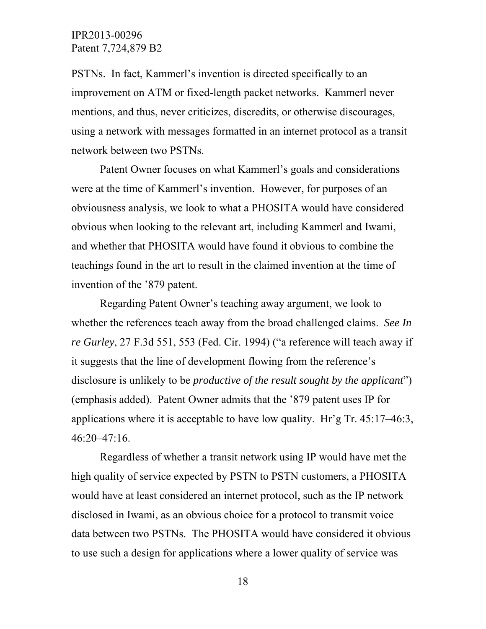PSTNs. In fact, Kammerl's invention is directed specifically to an improvement on ATM or fixed-length packet networks. Kammerl never mentions, and thus, never criticizes, discredits, or otherwise discourages, using a network with messages formatted in an internet protocol as a transit network between two PSTNs.

Patent Owner focuses on what Kammerl's goals and considerations were at the time of Kammerl's invention. However, for purposes of an obviousness analysis, we look to what a PHOSITA would have considered obvious when looking to the relevant art, including Kammerl and Iwami, and whether that PHOSITA would have found it obvious to combine the teachings found in the art to result in the claimed invention at the time of invention of the '879 patent.

Regarding Patent Owner's teaching away argument, we look to whether the references teach away from the broad challenged claims. *See In re Gurley*, 27 F.3d 551, 553 (Fed. Cir. 1994) ("a reference will teach away if it suggests that the line of development flowing from the reference's disclosure is unlikely to be *productive of the result sought by the applicant*") (emphasis added). Patent Owner admits that the '879 patent uses IP for applications where it is acceptable to have low quality. Hr'g Tr. 45:17–46:3, 46:20–47:16.

Regardless of whether a transit network using IP would have met the high quality of service expected by PSTN to PSTN customers, a PHOSITA would have at least considered an internet protocol, such as the IP network disclosed in Iwami, as an obvious choice for a protocol to transmit voice data between two PSTNs. The PHOSITA would have considered it obvious to use such a design for applications where a lower quality of service was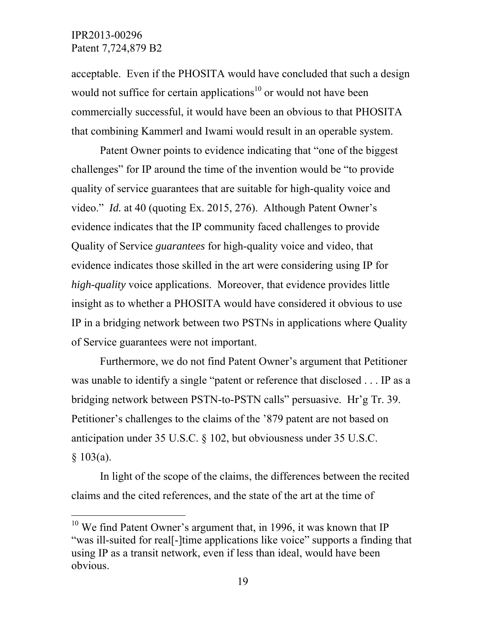$\overline{a}$ 

acceptable. Even if the PHOSITA would have concluded that such a design would not suffice for certain applications<sup>10</sup> or would not have been commercially successful, it would have been an obvious to that PHOSITA that combining Kammerl and Iwami would result in an operable system.

Patent Owner points to evidence indicating that "one of the biggest challenges" for IP around the time of the invention would be "to provide quality of service guarantees that are suitable for high-quality voice and video." *Id.* at 40 (quoting Ex. 2015, 276). Although Patent Owner's evidence indicates that the IP community faced challenges to provide Quality of Service *guarantees* for high-quality voice and video, that evidence indicates those skilled in the art were considering using IP for *high-quality* voice applications. Moreover, that evidence provides little insight as to whether a PHOSITA would have considered it obvious to use IP in a bridging network between two PSTNs in applications where Quality of Service guarantees were not important.

Furthermore, we do not find Patent Owner's argument that Petitioner was unable to identify a single "patent or reference that disclosed . . . IP as a bridging network between PSTN-to-PSTN calls" persuasive. Hr'g Tr. 39. Petitioner's challenges to the claims of the '879 patent are not based on anticipation under 35 U.S.C. § 102, but obviousness under 35 U.S.C.  $§ 103(a).$ 

In light of the scope of the claims, the differences between the recited claims and the cited references, and the state of the art at the time of

 $10$  We find Patent Owner's argument that, in 1996, it was known that IP "was ill-suited for real[-]time applications like voice" supports a finding that using IP as a transit network, even if less than ideal, would have been obvious.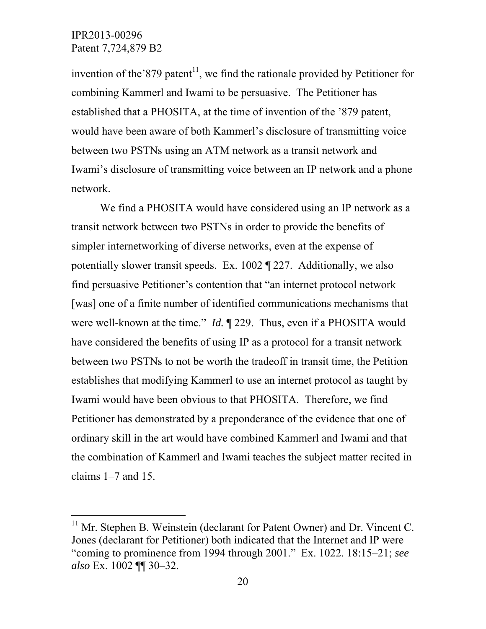$\overline{a}$ 

invention of the  $879$  patent<sup>11</sup>, we find the rationale provided by Petitioner for combining Kammerl and Iwami to be persuasive. The Petitioner has established that a PHOSITA, at the time of invention of the '879 patent, would have been aware of both Kammerl's disclosure of transmitting voice between two PSTNs using an ATM network as a transit network and Iwami's disclosure of transmitting voice between an IP network and a phone network.

We find a PHOSITA would have considered using an IP network as a transit network between two PSTNs in order to provide the benefits of simpler internetworking of diverse networks, even at the expense of potentially slower transit speeds. Ex. 1002 ¶ 227. Additionally, we also find persuasive Petitioner's contention that "an internet protocol network [was] one of a finite number of identified communications mechanisms that were well-known at the time." *Id.* ¶ 229. Thus, even if a PHOSITA would have considered the benefits of using IP as a protocol for a transit network between two PSTNs to not be worth the tradeoff in transit time, the Petition establishes that modifying Kammerl to use an internet protocol as taught by Iwami would have been obvious to that PHOSITA. Therefore, we find Petitioner has demonstrated by a preponderance of the evidence that one of ordinary skill in the art would have combined Kammerl and Iwami and that the combination of Kammerl and Iwami teaches the subject matter recited in claims 1–7 and 15.

 $11$  Mr. Stephen B. Weinstein (declarant for Patent Owner) and Dr. Vincent C. Jones (declarant for Petitioner) both indicated that the Internet and IP were "coming to prominence from 1994 through 2001." Ex. 1022. 18:15–21; *see also* Ex. 1002 ¶¶ 30–32.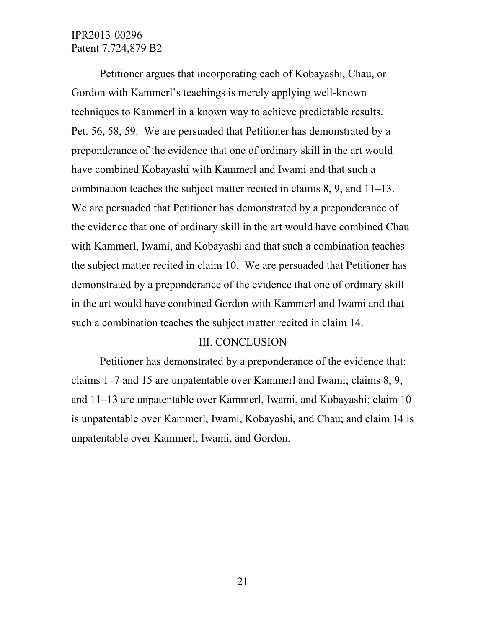Petitioner argues that incorporating each of Kobayashi, Chau, or Gordon with Kammerl's teachings is merely applying well-known techniques to Kammerl in a known way to achieve predictable results. Pet. 56, 58, 59. We are persuaded that Petitioner has demonstrated by a preponderance of the evidence that one of ordinary skill in the art would have combined Kobayashi with Kammerl and Iwami and that such a combination teaches the subject matter recited in claims 8, 9, and 11–13. We are persuaded that Petitioner has demonstrated by a preponderance of the evidence that one of ordinary skill in the art would have combined Chau with Kammerl, Iwami, and Kobayashi and that such a combination teaches the subject matter recited in claim 10. We are persuaded that Petitioner has demonstrated by a preponderance of the evidence that one of ordinary skill in the art would have combined Gordon with Kammerl and Iwami and that such a combination teaches the subject matter recited in claim 14.

#### III. CONCLUSION

Petitioner has demonstrated by a preponderance of the evidence that: claims 1–7 and 15 are unpatentable over Kammerl and Iwami; claims 8, 9, and 11–13 are unpatentable over Kammerl, Iwami, and Kobayashi; claim 10 is unpatentable over Kammerl, Iwami, Kobayashi, and Chau; and claim 14 is unpatentable over Kammerl, Iwami, and Gordon.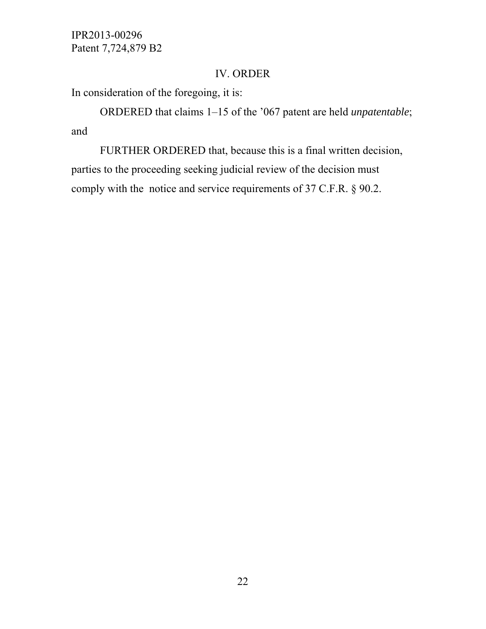# IV. ORDER

In consideration of the foregoing, it is:

ORDERED that claims 1–15 of the '067 patent are held *unpatentable*; and

FURTHER ORDERED that, because this is a final written decision, parties to the proceeding seeking judicial review of the decision must comply with the notice and service requirements of 37 C.F.R. § 90.2.